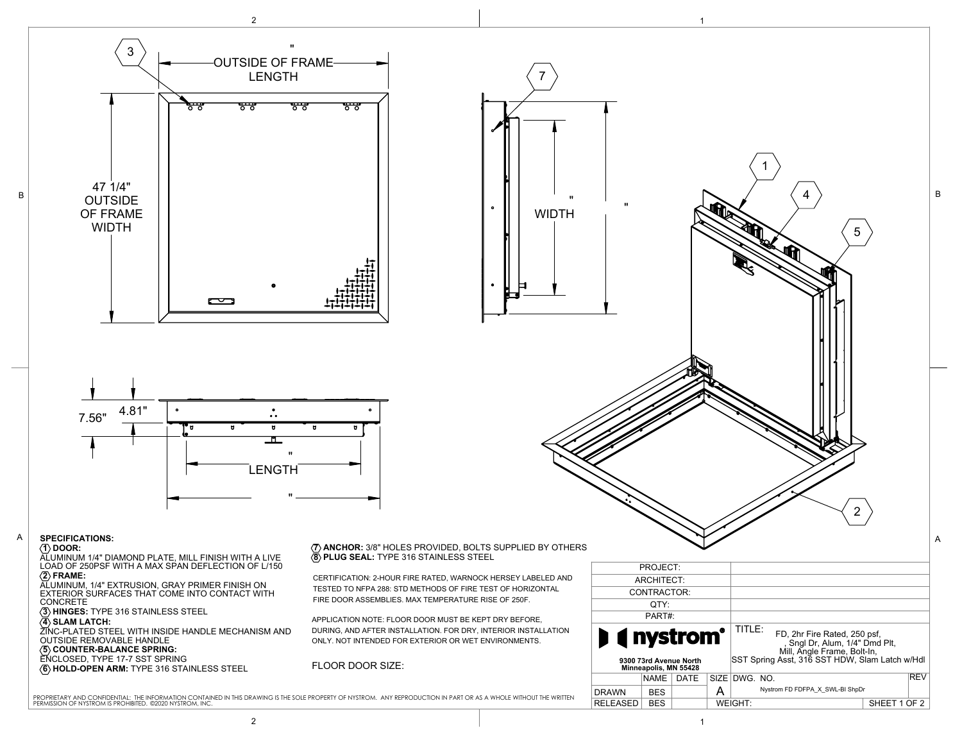

2 and  $\overline{1}$  1